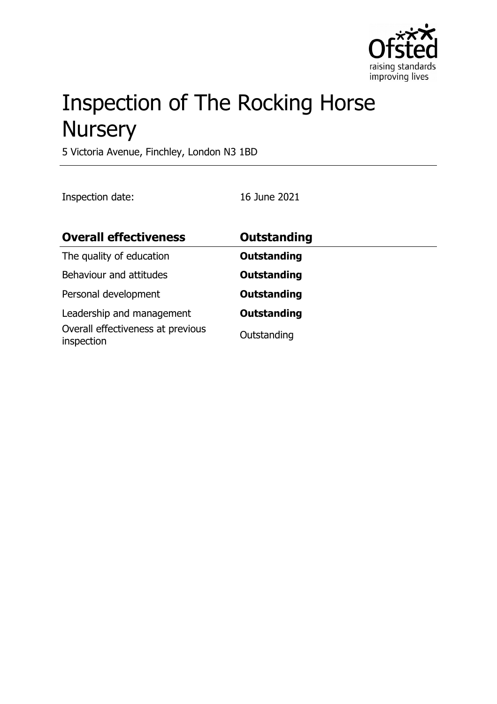

# Inspection of The Rocking Horse **Nursery**

5 Victoria Avenue, Finchley, London N3 1BD

Inspection date: 16 June 2021

| <b>Overall effectiveness</b>                                                 | <b>Outstanding</b>                |
|------------------------------------------------------------------------------|-----------------------------------|
| The quality of education                                                     | <b>Outstanding</b>                |
| Behaviour and attitudes                                                      | <b>Outstanding</b>                |
| Personal development                                                         | <b>Outstanding</b>                |
| Leadership and management<br>Overall effectiveness at previous<br>inspection | <b>Outstanding</b><br>Outstanding |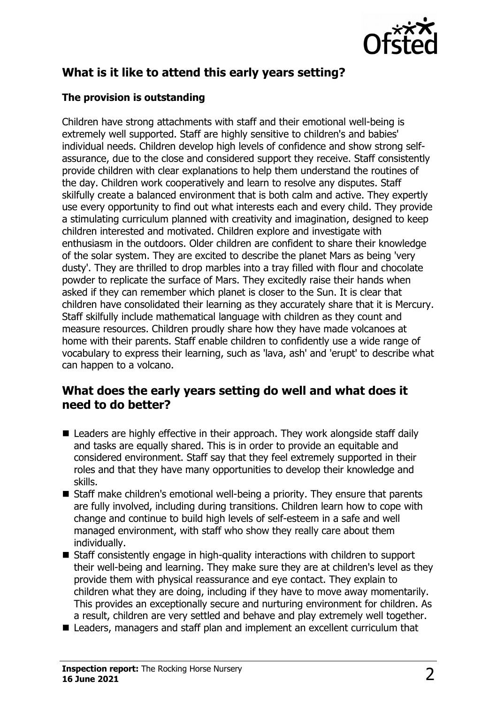

# **What is it like to attend this early years setting?**

### **The provision is outstanding**

Children have strong attachments with staff and their emotional well-being is extremely well supported. Staff are highly sensitive to children's and babies' individual needs. Children develop high levels of confidence and show strong selfassurance, due to the close and considered support they receive. Staff consistently provide children with clear explanations to help them understand the routines of the day. Children work cooperatively and learn to resolve any disputes. Staff skilfully create a balanced environment that is both calm and active. They expertly use every opportunity to find out what interests each and every child. They provide a stimulating curriculum planned with creativity and imagination, designed to keep children interested and motivated. Children explore and investigate with enthusiasm in the outdoors. Older children are confident to share their knowledge of the solar system. They are excited to describe the planet Mars as being 'very dusty'. They are thrilled to drop marbles into a tray filled with flour and chocolate powder to replicate the surface of Mars. They excitedly raise their hands when asked if they can remember which planet is closer to the Sun. It is clear that children have consolidated their learning as they accurately share that it is Mercury. Staff skilfully include mathematical language with children as they count and measure resources. Children proudly share how they have made volcanoes at home with their parents. Staff enable children to confidently use a wide range of vocabulary to express their learning, such as 'lava, ash' and 'erupt' to describe what can happen to a volcano.

## **What does the early years setting do well and what does it need to do better?**

- $\blacksquare$  Leaders are highly effective in their approach. They work alongside staff daily and tasks are equally shared. This is in order to provide an equitable and considered environment. Staff say that they feel extremely supported in their roles and that they have many opportunities to develop their knowledge and skills.
- $\blacksquare$  Staff make children's emotional well-being a priority. They ensure that parents are fully involved, including during transitions. Children learn how to cope with change and continue to build high levels of self-esteem in a safe and well managed environment, with staff who show they really care about them individually.
- $\blacksquare$  Staff consistently engage in high-quality interactions with children to support their well-being and learning. They make sure they are at children's level as they provide them with physical reassurance and eye contact. They explain to children what they are doing, including if they have to move away momentarily. This provides an exceptionally secure and nurturing environment for children. As a result, children are very settled and behave and play extremely well together.
- Leaders, managers and staff plan and implement an excellent curriculum that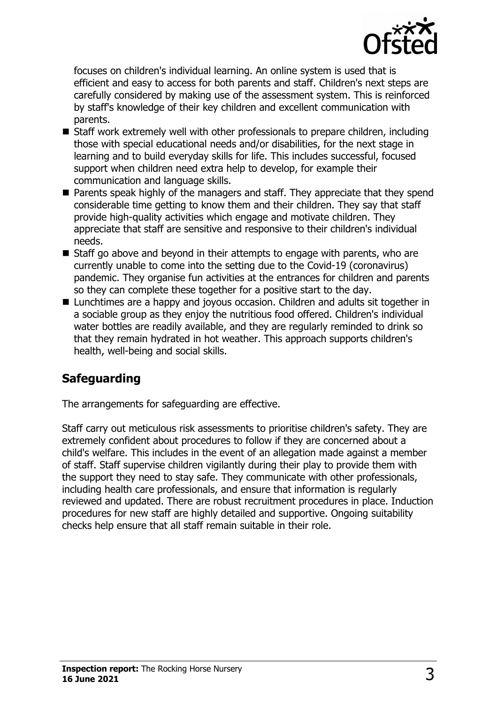

focuses on children's individual learning. An online system is used that is efficient and easy to access for both parents and staff. Children's next steps are carefully considered by making use of the assessment system. This is reinforced by staff's knowledge of their key children and excellent communication with parents.

- Staff work extremely well with other professionals to prepare children, including those with special educational needs and/or disabilities, for the next stage in learning and to build everyday skills for life. This includes successful, focused support when children need extra help to develop, for example their communication and language skills.
- $\blacksquare$  Parents speak highly of the managers and staff. They appreciate that they spend considerable time getting to know them and their children. They say that staff provide high-quality activities which engage and motivate children. They appreciate that staff are sensitive and responsive to their children's individual needs.
- $\blacksquare$  Staff go above and beyond in their attempts to engage with parents, who are currently unable to come into the setting due to the Covid-19 (coronavirus) pandemic. They organise fun activities at the entrances for children and parents so they can complete these together for a positive start to the day.
- Lunchtimes are a happy and joyous occasion. Children and adults sit together in a sociable group as they enjoy the nutritious food offered. Children's individual water bottles are readily available, and they are regularly reminded to drink so that they remain hydrated in hot weather. This approach supports children's health, well-being and social skills.

# **Safeguarding**

The arrangements for safeguarding are effective.

Staff carry out meticulous risk assessments to prioritise children's safety. They are extremely confident about procedures to follow if they are concerned about a child's welfare. This includes in the event of an allegation made against a member of staff. Staff supervise children vigilantly during their play to provide them with the support they need to stay safe. They communicate with other professionals, including health care professionals, and ensure that information is regularly reviewed and updated. There are robust recruitment procedures in place. Induction procedures for new staff are highly detailed and supportive. Ongoing suitability checks help ensure that all staff remain suitable in their role.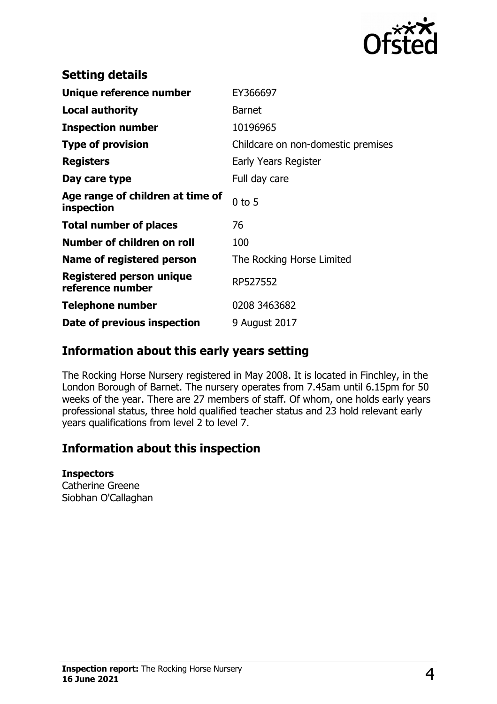

| EY366697                           |
|------------------------------------|
| <b>Barnet</b>                      |
| 10196965                           |
| Childcare on non-domestic premises |
| Early Years Register               |
| Full day care                      |
| $0$ to 5                           |
| 76                                 |
| 100                                |
| The Rocking Horse Limited          |
| RP527552                           |
| 0208 3463682                       |
| 9 August 2017                      |
|                                    |

# **Information about this early years setting**

The Rocking Horse Nursery registered in May 2008. It is located in Finchley, in the London Borough of Barnet. The nursery operates from 7.45am until 6.15pm for 50 weeks of the year. There are 27 members of staff. Of whom, one holds early years professional status, three hold qualified teacher status and 23 hold relevant early years qualifications from level 2 to level 7.

# **Information about this inspection**

#### **Inspectors**

Catherine Greene Siobhan O'Callaghan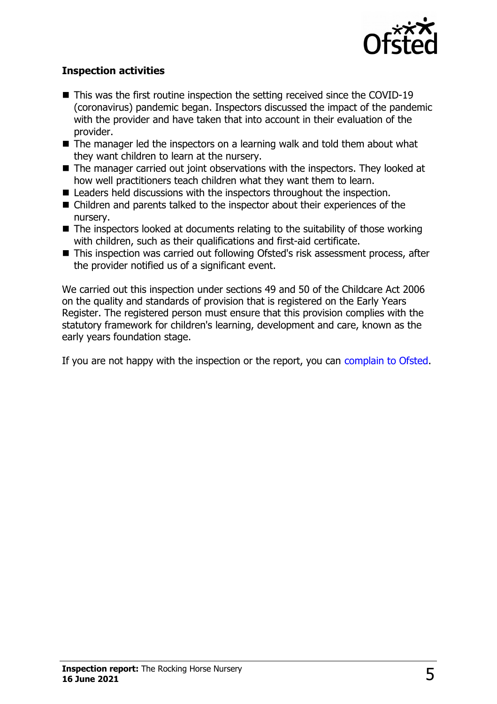

### **Inspection activities**

- $\blacksquare$  This was the first routine inspection the setting received since the COVID-19 (coronavirus) pandemic began. Inspectors discussed the impact of the pandemic with the provider and have taken that into account in their evaluation of the provider.
- $\blacksquare$  The manager led the inspectors on a learning walk and told them about what they want children to learn at the nursery.
- $\blacksquare$  The manager carried out joint observations with the inspectors. They looked at how well practitioners teach children what they want them to learn.
- $\blacksquare$  Leaders held discussions with the inspectors throughout the inspection.
- $\blacksquare$  Children and parents talked to the inspector about their experiences of the nursery.
- $\blacksquare$  The inspectors looked at documents relating to the suitability of those working with children, such as their qualifications and first-aid certificate.
- This inspection was carried out following Ofsted's risk assessment process, after the provider notified us of a significant event.

We carried out this inspection under sections 49 and 50 of the Childcare Act 2006 on the quality and standards of provision that is registered on the Early Years Register. The registered person must ensure that this provision complies with the statutory framework for children's learning, development and care, known as the early years foundation stage.

If you are not happy with the inspection or the report, you can [complain to Ofsted.](http://www.gov.uk/complain-ofsted-report)